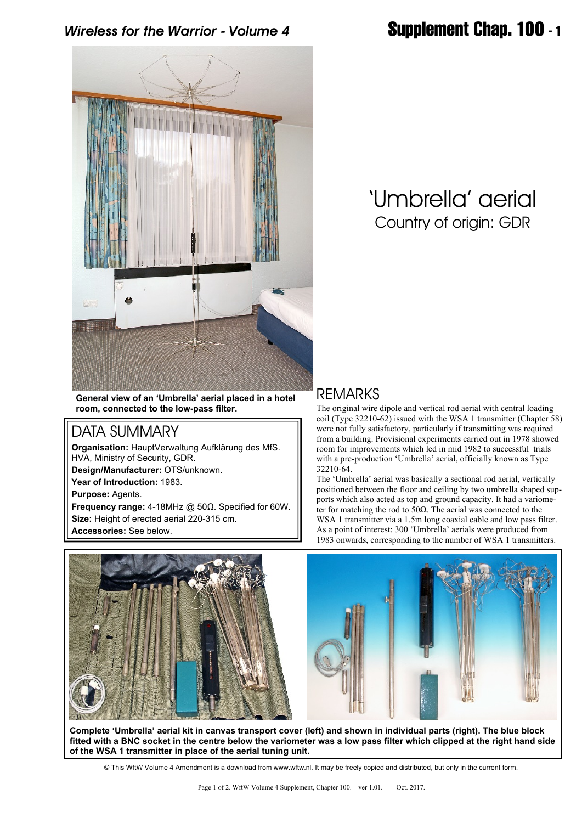*Wireless for the Warrior - Volume 4* **Supplement Chap. 100 - 1**



# 'Umbrella' aerial Country of origin: GDR

**General view of an 'Umbrella' aerial placed in a hotel room, connected to the low-pass filter.**

### DATA SUMMARY

**Organisation:** HauptVerwaltung Aufklärung des MfS. HVA, Ministry of Security, GDR.

**Design/Manufacturer:** OTS/unknown.

**Year of Introduction:** 1983.

**Purpose:** Agents.

**Frequency range:** 4-18MHz @ 50Ω. Specified for 60W. **Size:** Height of erected aerial 220-315 cm.

**Accessories:** See below.

### REMARKS

The original wire dipole and vertical rod aerial with central loading coil (Type 32210-62) issued with the WSA 1 transmitter (Chapter 58) were not fully satisfactory, particularly if transmitting was required from a building. Provisional experiments carried out in 1978 showed room for improvements which led in mid 1982 to successful trials with a pre-production 'Umbrella' aerial, officially known as Type 32210-64.

The 'Umbrella' aerial was basically a sectional rod aerial, vertically positioned between the floor and ceiling by two umbrella shaped supports which also acted as top and ground capacity. It had a variometer for matching the rod to 50 $\Omega$ . The aerial was connected to the WSA 1 transmitter via a 1.5m long coaxial cable and low pass filter. As a point of interest: 300 'Umbrella' aerials were produced from 1983 onwards, corresponding to the number of WSA 1 transmitters.





**Complete 'Umbrella' aerial kit in canvas transport cover (left) and shown in individual parts (right). The blue block fitted with a BNC socket in the centre below the variometer was a low pass filter which clipped at the right hand side of the WSA 1 transmitter in place of the aerial tuning unit.**

© This WftW Volume 4 Amendment is a download from www.wftw.nl. It may be freely copied and distributed, but only in the current form.